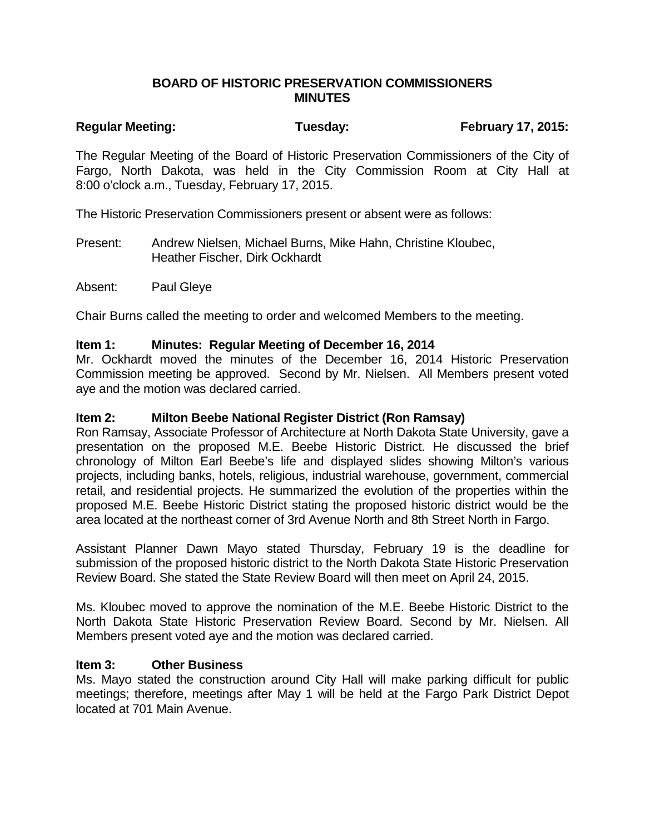### **BOARD OF HISTORIC PRESERVATION COMMISSIONERS MINUTES**

# **Regular Meeting: Tuesday: February 17, 2015:**

The Regular Meeting of the Board of Historic Preservation Commissioners of the City of Fargo, North Dakota, was held in the City Commission Room at City Hall at 8:00 o'clock a.m., Tuesday, February 17, 2015.

The Historic Preservation Commissioners present or absent were as follows:

Present: Andrew Nielsen, Michael Burns, Mike Hahn, Christine Kloubec, Heather Fischer, Dirk Ockhardt

Absent: Paul Gleye

Chair Burns called the meeting to order and welcomed Members to the meeting.

#### **Item 1: Minutes: Regular Meeting of December 16, 2014**

Mr. Ockhardt moved the minutes of the December 16, 2014 Historic Preservation Commission meeting be approved. Second by Mr. Nielsen. All Members present voted aye and the motion was declared carried.

#### **Item 2: Milton Beebe National Register District (Ron Ramsay)**

Ron Ramsay, Associate Professor of Architecture at North Dakota State University, gave a presentation on the proposed M.E. Beebe Historic District. He discussed the brief chronology of Milton Earl Beebe's life and displayed slides showing Milton's various projects, including banks, hotels, religious, industrial warehouse, government, commercial retail, and residential projects. He summarized the evolution of the properties within the proposed M.E. Beebe Historic District stating the proposed historic district would be the area located at the northeast corner of 3rd Avenue North and 8th Street North in Fargo.

Assistant Planner Dawn Mayo stated Thursday, February 19 is the deadline for submission of the proposed historic district to the North Dakota State Historic Preservation Review Board. She stated the State Review Board will then meet on April 24, 2015.

Ms. Kloubec moved to approve the nomination of the M.E. Beebe Historic District to the North Dakota State Historic Preservation Review Board. Second by Mr. Nielsen. All Members present voted aye and the motion was declared carried.

#### **Item 3: Other Business**

Ms. Mayo stated the construction around City Hall will make parking difficult for public meetings; therefore, meetings after May 1 will be held at the Fargo Park District Depot located at 701 Main Avenue.